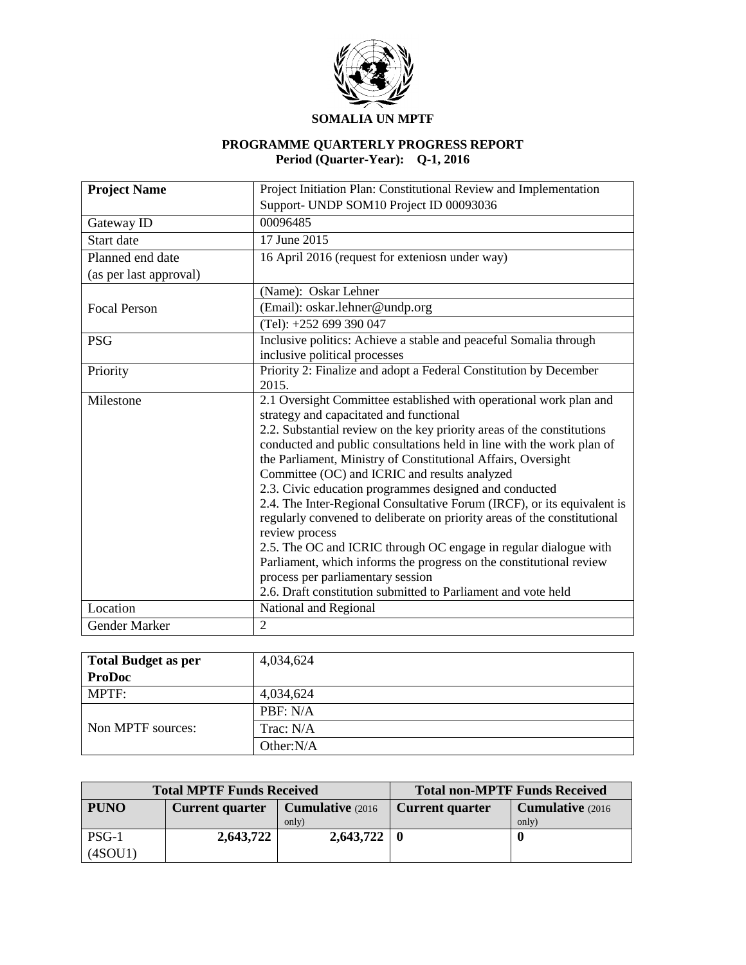

#### **PROGRAMME QUARTERLY PROGRESS REPORT Period (Quarter-Year): Q-1, 2016**

| <b>Project Name</b>    | Project Initiation Plan: Constitutional Review and Implementation                                                                                                                                                                                                                                                                                                                                                                                                                                                                                                                                                                                                                                                                                                                                                                                                      |  |  |  |
|------------------------|------------------------------------------------------------------------------------------------------------------------------------------------------------------------------------------------------------------------------------------------------------------------------------------------------------------------------------------------------------------------------------------------------------------------------------------------------------------------------------------------------------------------------------------------------------------------------------------------------------------------------------------------------------------------------------------------------------------------------------------------------------------------------------------------------------------------------------------------------------------------|--|--|--|
|                        | Support- UNDP SOM10 Project ID 00093036                                                                                                                                                                                                                                                                                                                                                                                                                                                                                                                                                                                                                                                                                                                                                                                                                                |  |  |  |
| Gateway ID             | 00096485                                                                                                                                                                                                                                                                                                                                                                                                                                                                                                                                                                                                                                                                                                                                                                                                                                                               |  |  |  |
| Start date             | 17 June 2015                                                                                                                                                                                                                                                                                                                                                                                                                                                                                                                                                                                                                                                                                                                                                                                                                                                           |  |  |  |
| Planned end date       | 16 April 2016 (request for exteniosn under way)                                                                                                                                                                                                                                                                                                                                                                                                                                                                                                                                                                                                                                                                                                                                                                                                                        |  |  |  |
| (as per last approval) |                                                                                                                                                                                                                                                                                                                                                                                                                                                                                                                                                                                                                                                                                                                                                                                                                                                                        |  |  |  |
|                        | (Name): Oskar Lehner                                                                                                                                                                                                                                                                                                                                                                                                                                                                                                                                                                                                                                                                                                                                                                                                                                                   |  |  |  |
| <b>Focal Person</b>    | (Email): oskar.lehner@undp.org                                                                                                                                                                                                                                                                                                                                                                                                                                                                                                                                                                                                                                                                                                                                                                                                                                         |  |  |  |
|                        | $(Tel): +252699390047$                                                                                                                                                                                                                                                                                                                                                                                                                                                                                                                                                                                                                                                                                                                                                                                                                                                 |  |  |  |
| <b>PSG</b>             | Inclusive politics: Achieve a stable and peaceful Somalia through                                                                                                                                                                                                                                                                                                                                                                                                                                                                                                                                                                                                                                                                                                                                                                                                      |  |  |  |
|                        | inclusive political processes                                                                                                                                                                                                                                                                                                                                                                                                                                                                                                                                                                                                                                                                                                                                                                                                                                          |  |  |  |
| Priority               | Priority 2: Finalize and adopt a Federal Constitution by December<br>2015.                                                                                                                                                                                                                                                                                                                                                                                                                                                                                                                                                                                                                                                                                                                                                                                             |  |  |  |
| Milestone              | 2.1 Oversight Committee established with operational work plan and<br>strategy and capacitated and functional<br>2.2. Substantial review on the key priority areas of the constitutions<br>conducted and public consultations held in line with the work plan of<br>the Parliament, Ministry of Constitutional Affairs, Oversight<br>Committee (OC) and ICRIC and results analyzed<br>2.3. Civic education programmes designed and conducted<br>2.4. The Inter-Regional Consultative Forum (IRCF), or its equivalent is<br>regularly convened to deliberate on priority areas of the constitutional<br>review process<br>2.5. The OC and ICRIC through OC engage in regular dialogue with<br>Parliament, which informs the progress on the constitutional review<br>process per parliamentary session<br>2.6. Draft constitution submitted to Parliament and vote held |  |  |  |
| Location               | National and Regional                                                                                                                                                                                                                                                                                                                                                                                                                                                                                                                                                                                                                                                                                                                                                                                                                                                  |  |  |  |
| <b>Gender Marker</b>   | $\overline{2}$                                                                                                                                                                                                                                                                                                                                                                                                                                                                                                                                                                                                                                                                                                                                                                                                                                                         |  |  |  |

| <b>Total Budget as per</b> | 4,034,624    |
|----------------------------|--------------|
| <b>ProDoc</b>              |              |
| <b>MPTF:</b>               | 4,034,624    |
|                            | PBF: N/A     |
| Non MPTF sources:          | Trac: $N/A$  |
|                            | Other: $N/A$ |

|             | <b>Total MPTF Funds Received</b> | <b>Total non-MPTF Funds Received</b> |                        |                   |  |
|-------------|----------------------------------|--------------------------------------|------------------------|-------------------|--|
| <b>PUNO</b> | <b>Current quarter</b>           | <b>Cumulative</b> (2016)             | <b>Current quarter</b> | Cumulative (2016) |  |
|             |                                  | only)                                |                        | only)             |  |
| $PSG-1$     | 2,643,722                        | $2,643,722$   0                      |                        |                   |  |
| (4SOU1)     |                                  |                                      |                        |                   |  |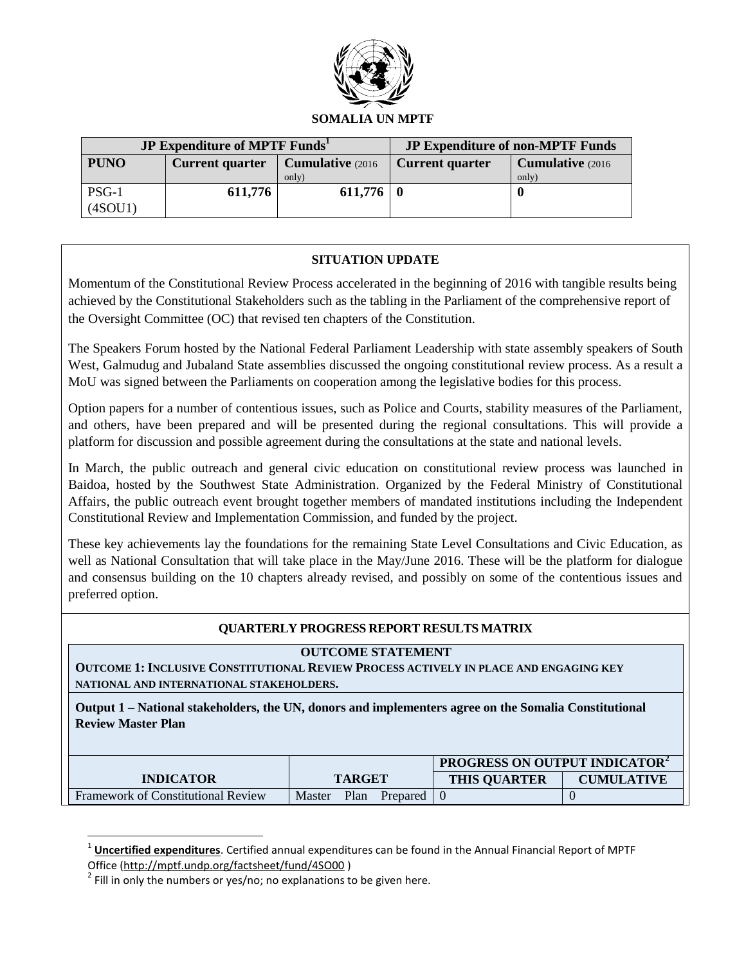

|             | <b>JP Expenditure of MPTF Funds</b> | <b>JP Expenditure of non-MPTF Funds</b> |                        |                          |
|-------------|-------------------------------------|-----------------------------------------|------------------------|--------------------------|
| <b>PUNO</b> | <b>Current quarter</b>              | <b>Cumulative</b> (2016)                | <b>Current quarter</b> | <b>Cumulative</b> (2016) |
|             |                                     | only)                                   |                        | only)                    |
| $PSG-1$     | 611,776                             | $611,776$   0                           |                        |                          |
| (4SOU1)     |                                     |                                         |                        |                          |

## **SITUATION UPDATE**

Momentum of the Constitutional Review Process accelerated in the beginning of 2016 with tangible results being achieved by the Constitutional Stakeholders such as the tabling in the Parliament of the comprehensive report of the Oversight Committee (OC) that revised ten chapters of the Constitution.

The Speakers Forum hosted by the National Federal Parliament Leadership with state assembly speakers of South West, Galmudug and Jubaland State assemblies discussed the ongoing constitutional review process. As a result a MoU was signed between the Parliaments on cooperation among the legislative bodies for this process.

Option papers for a number of contentious issues, such as Police and Courts, stability measures of the Parliament, and others, have been prepared and will be presented during the regional consultations. This will provide a platform for discussion and possible agreement during the consultations at the state and national levels.

In March, the public outreach and general civic education on constitutional review process was launched in Baidoa, hosted by the Southwest State Administration. Organized by the Federal Ministry of Constitutional Affairs, the public outreach event brought together members of mandated institutions including the Independent Constitutional Review and Implementation Commission, and funded by the project.

These key achievements lay the foundations for the remaining State Level Consultations and Civic Education, as well as National Consultation that will take place in the May/June 2016. These will be the platform for dialogue and consensus building on the 10 chapters already revised, and possibly on some of the contentious issues and preferred option.

## **QUARTERLY PROGRESS REPORT RESULTS MATRIX**

#### **OUTCOME STATEMENT**

**OUTCOME 1: INCLUSIVE CONSTITUTIONAL REVIEW PROCESS ACTIVELY IN PLACE AND ENGAGING KEY NATIONAL AND INTERNATIONAL STAKEHOLDERS.**

**Output 1 – National stakeholders, the UN, donors and implementers agree on the Somalia Constitutional Review Master Plan**

|                                           |                            | <b>PROGRESS ON OUTPUT INDICATOR-</b> |                   |  |
|-------------------------------------------|----------------------------|--------------------------------------|-------------------|--|
| <b>INDICATOR</b>                          | <b>TARGET</b>              | <b>THIS OUARTER</b>                  | <b>CUMULATIVE</b> |  |
| <b>Framework of Constitutional Review</b> | Master<br>Plan<br>Prepared |                                      |                   |  |

<sup>1</sup> **Uncertified expenditures**. Certified annual expenditures can be found in the Annual Financial Report of MPTF Office [\(http://mptf.undp.org/factsheet/fund/4SO00](http://mptf.undp.org/factsheet/fund/4SO00) )

 $\overline{\phantom{a}}$ 

 $^{2}$  Fill in only the numbers or yes/no; no explanations to be given here.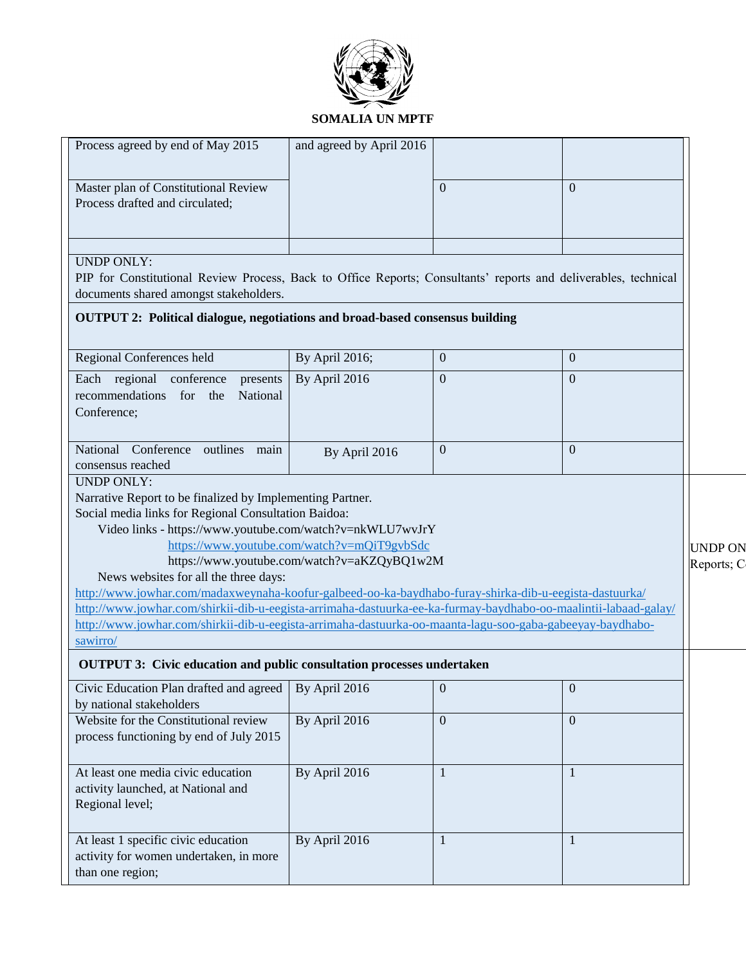

| Process agreed by end of May 2015                                                                                                                                                                                                                                                                                                                                                                                                                                                                                                                                             | and agreed by April 2016                                                                   |                |                  |
|-------------------------------------------------------------------------------------------------------------------------------------------------------------------------------------------------------------------------------------------------------------------------------------------------------------------------------------------------------------------------------------------------------------------------------------------------------------------------------------------------------------------------------------------------------------------------------|--------------------------------------------------------------------------------------------|----------------|------------------|
| Master plan of Constitutional Review<br>Process drafted and circulated;                                                                                                                                                                                                                                                                                                                                                                                                                                                                                                       |                                                                                            |                | $\theta$         |
| <b>UNDP ONLY:</b><br>PIP for Constitutional Review Process, Back to Office Reports; Consultants' reports and deliverables, technical<br>documents shared amongst stakeholders.<br>OUTPUT 2: Political dialogue, negotiations and broad-based consensus building                                                                                                                                                                                                                                                                                                               |                                                                                            |                |                  |
|                                                                                                                                                                                                                                                                                                                                                                                                                                                                                                                                                                               |                                                                                            |                |                  |
| Regional Conferences held                                                                                                                                                                                                                                                                                                                                                                                                                                                                                                                                                     | By April 2016;                                                                             | $\bf{0}$       | $\overline{0}$   |
| Each regional conference presents<br>recommendations for the National<br>Conference;                                                                                                                                                                                                                                                                                                                                                                                                                                                                                          | By April 2016                                                                              | $\overline{0}$ | $\overline{0}$   |
| National Conference outlines main<br>consensus reached                                                                                                                                                                                                                                                                                                                                                                                                                                                                                                                        | By April 2016                                                                              | $\overline{0}$ | $\theta$         |
| Narrative Report to be finalized by Implementing Partner.<br>Social media links for Regional Consultation Baidoa:<br>Video links - https://www.youtube.com/watch?v=nkWLU7wvJrY<br>News websites for all the three days:<br>http://www.jowhar.com/madaxweynaha-koofur-galbeed-oo-ka-baydhabo-furay-shirka-dib-u-eegista-dastuurka/<br>http://www.jowhar.com/shirkii-dib-u-eegista-arrimaha-dastuurka-ee-ka-furmay-baydhabo-oo-maalintii-labaad-galay/<br>http://www.jowhar.com/shirkii-dib-u-eegista-arrimaha-dastuurka-oo-maanta-lagu-soo-gaba-gabeeyay-baydhabo-<br>sawirro/ | https://www.youtube.com/watch?v=mQiT9gvbSdc<br>https://www.youtube.com/watch?v=aKZQyBQ1w2M |                |                  |
| <b>OUTPUT 3: Civic education and public consultation processes undertaken</b>                                                                                                                                                                                                                                                                                                                                                                                                                                                                                                 |                                                                                            |                |                  |
| Civic Education Plan drafted and agreed   By April 2016<br>by national stakeholders                                                                                                                                                                                                                                                                                                                                                                                                                                                                                           |                                                                                            | $\overline{0}$ | $\boldsymbol{0}$ |
| Website for the Constitutional review<br>process functioning by end of July 2015                                                                                                                                                                                                                                                                                                                                                                                                                                                                                              | By April 2016                                                                              | $\overline{0}$ | $\mathbf{0}$     |
| At least one media civic education<br>activity launched, at National and<br>Regional level;                                                                                                                                                                                                                                                                                                                                                                                                                                                                                   | By April 2016                                                                              |                |                  |
| At least 1 specific civic education<br>activity for women undertaken, in more<br>than one region;                                                                                                                                                                                                                                                                                                                                                                                                                                                                             | By April 2016                                                                              |                |                  |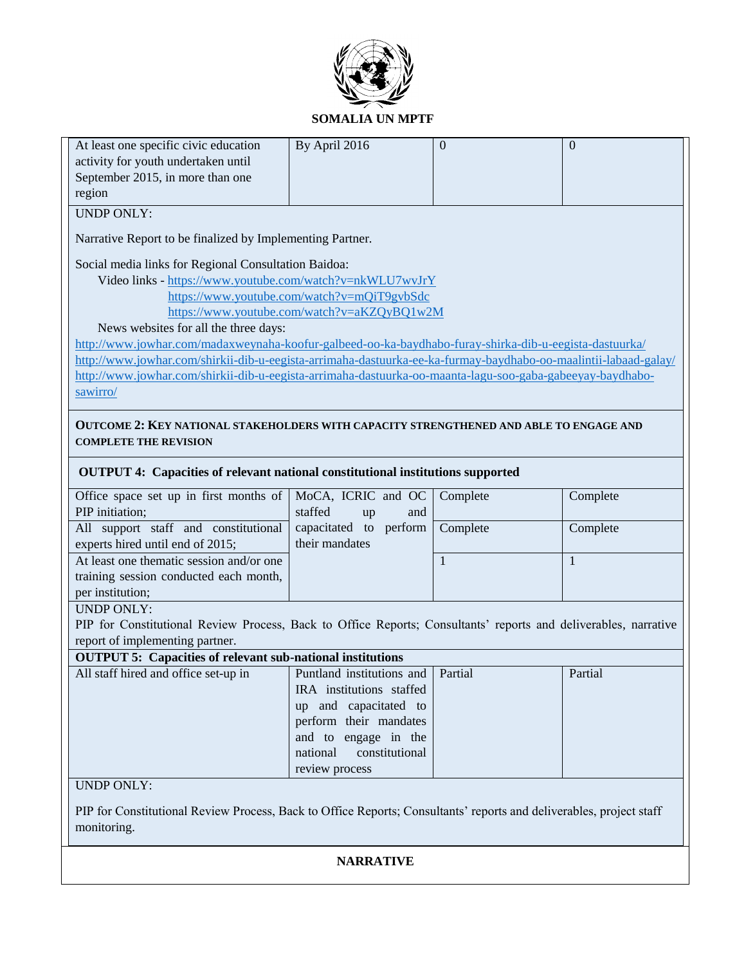

| At least one specific civic education                                                                           | By April 2016                               | $\Omega$ | $\overline{0}$ |  |  |  |  |
|-----------------------------------------------------------------------------------------------------------------|---------------------------------------------|----------|----------------|--|--|--|--|
| activity for youth undertaken until                                                                             |                                             |          |                |  |  |  |  |
| September 2015, in more than one                                                                                |                                             |          |                |  |  |  |  |
| region                                                                                                          |                                             |          |                |  |  |  |  |
| <b>UNDP ONLY:</b>                                                                                               |                                             |          |                |  |  |  |  |
|                                                                                                                 |                                             |          |                |  |  |  |  |
| Narrative Report to be finalized by Implementing Partner.                                                       |                                             |          |                |  |  |  |  |
|                                                                                                                 |                                             |          |                |  |  |  |  |
| Social media links for Regional Consultation Baidoa:                                                            |                                             |          |                |  |  |  |  |
| Video links - https://www.youtube.com/watch?v=nkWLU7wvJrY                                                       |                                             |          |                |  |  |  |  |
|                                                                                                                 | https://www.youtube.com/watch?v=mQiT9gvbSdc |          |                |  |  |  |  |
|                                                                                                                 | https://www.youtube.com/watch?v=aKZQyBQ1w2M |          |                |  |  |  |  |
| News websites for all the three days:                                                                           |                                             |          |                |  |  |  |  |
| http://www.jowhar.com/madaxweynaha-koofur-galbeed-oo-ka-baydhabo-furay-shirka-dib-u-eegista-dastuurka/          |                                             |          |                |  |  |  |  |
| http://www.jowhar.com/shirkii-dib-u-eegista-arrimaha-dastuurka-ee-ka-furmay-baydhabo-oo-maalintii-labaad-galay/ |                                             |          |                |  |  |  |  |
| http://www.jowhar.com/shirkii-dib-u-eegista-arrimaha-dastuurka-oo-maanta-lagu-soo-gaba-gabeeyay-baydhabo-       |                                             |          |                |  |  |  |  |
| sawirro/                                                                                                        |                                             |          |                |  |  |  |  |
|                                                                                                                 |                                             |          |                |  |  |  |  |
| OUTCOME 2: KEY NATIONAL STAKEHOLDERS WITH CAPACITY STRENGTHENED AND ABLE TO ENGAGE AND                          |                                             |          |                |  |  |  |  |
| <b>COMPLETE THE REVISION</b>                                                                                    |                                             |          |                |  |  |  |  |
|                                                                                                                 |                                             |          |                |  |  |  |  |
| OUTPUT 4: Capacities of relevant national constitutional institutions supported                                 |                                             |          |                |  |  |  |  |
| Office space set up in first months of                                                                          | MoCA, ICRIC and OC                          | Complete | Complete       |  |  |  |  |
| PIP initiation;                                                                                                 | staffed<br>and<br>up                        |          |                |  |  |  |  |
| capacitated to perform<br>Complete<br>All support staff and constitutional<br>Complete                          |                                             |          |                |  |  |  |  |
| their mandates<br>experts hired until end of 2015;                                                              |                                             |          |                |  |  |  |  |
| At least one thematic session and/or one<br>1<br>1                                                              |                                             |          |                |  |  |  |  |

## per institution; UNDP ONLY:

training session conducted each month,

PIP for Constitutional Review Process, Back to Office Reports; Consultants' reports and deliverables, narrative report of implementing partner.

| <b>OUTPUT 5: Capacities of relevant sub-national institutions</b> |                                   |  |         |  |  |  |  |
|-------------------------------------------------------------------|-----------------------------------|--|---------|--|--|--|--|
| All staff hired and office set-up in                              | Puntland institutions and Partial |  | Partial |  |  |  |  |
|                                                                   | IRA institutions staffed          |  |         |  |  |  |  |
|                                                                   | up and capacitated to             |  |         |  |  |  |  |
|                                                                   | perform their mandates            |  |         |  |  |  |  |
|                                                                   | and to engage in the              |  |         |  |  |  |  |
|                                                                   | national constitutional           |  |         |  |  |  |  |
|                                                                   | review process                    |  |         |  |  |  |  |
|                                                                   |                                   |  |         |  |  |  |  |

### UNDP ONLY:

PIP for Constitutional Review Process, Back to Office Reports; Consultants' reports and deliverables, project staff monitoring.

### **NARRATIVE**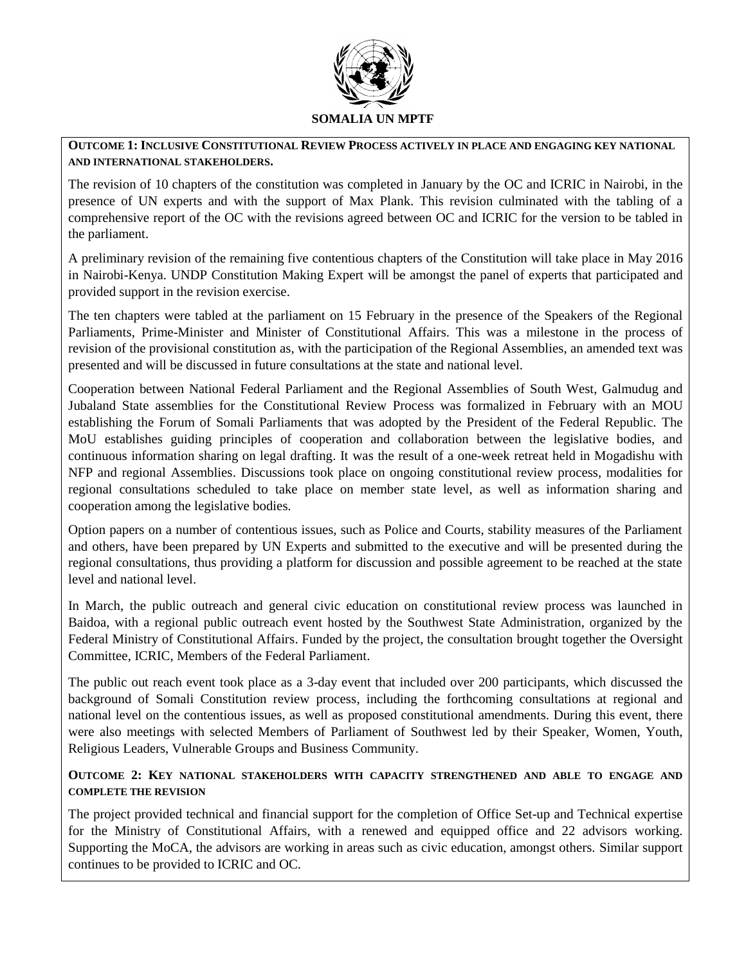

#### **OUTCOME 1: INCLUSIVE CONSTITUTIONAL REVIEW PROCESS ACTIVELY IN PLACE AND ENGAGING KEY NATIONAL AND INTERNATIONAL STAKEHOLDERS.**

The revision of 10 chapters of the constitution was completed in January by the OC and ICRIC in Nairobi, in the presence of UN experts and with the support of Max Plank. This revision culminated with the tabling of a comprehensive report of the OC with the revisions agreed between OC and ICRIC for the version to be tabled in the parliament.

A preliminary revision of the remaining five contentious chapters of the Constitution will take place in May 2016 in Nairobi-Kenya. UNDP Constitution Making Expert will be amongst the panel of experts that participated and provided support in the revision exercise.

The ten chapters were tabled at the parliament on 15 February in the presence of the Speakers of the Regional Parliaments, Prime-Minister and Minister of Constitutional Affairs. This was a milestone in the process of revision of the provisional constitution as, with the participation of the Regional Assemblies, an amended text was presented and will be discussed in future consultations at the state and national level.

Cooperation between National Federal Parliament and the Regional Assemblies of South West, Galmudug and Jubaland State assemblies for the Constitutional Review Process was formalized in February with an MOU establishing the Forum of Somali Parliaments that was adopted by the President of the Federal Republic. The MoU establishes guiding principles of cooperation and collaboration between the legislative bodies, and continuous information sharing on legal drafting. It was the result of a one-week retreat held in Mogadishu with NFP and regional Assemblies. Discussions took place on ongoing constitutional review process, modalities for regional consultations scheduled to take place on member state level, as well as information sharing and cooperation among the legislative bodies.

Option papers on a number of contentious issues, such as Police and Courts, stability measures of the Parliament and others, have been prepared by UN Experts and submitted to the executive and will be presented during the regional consultations, thus providing a platform for discussion and possible agreement to be reached at the state level and national level.

In March, the public outreach and general civic education on constitutional review process was launched in Baidoa, with a regional public outreach event hosted by the Southwest State Administration, organized by the Federal Ministry of Constitutional Affairs. Funded by the project, the consultation brought together the Oversight Committee, ICRIC, Members of the Federal Parliament.

The public out reach event took place as a 3-day event that included over 200 participants, which discussed the background of Somali Constitution review process, including the forthcoming consultations at regional and national level on the contentious issues, as well as proposed constitutional amendments. During this event, there were also meetings with selected Members of Parliament of Southwest led by their Speaker, Women, Youth, Religious Leaders, Vulnerable Groups and Business Community.

## **OUTCOME 2: KEY NATIONAL STAKEHOLDERS WITH CAPACITY STRENGTHENED AND ABLE TO ENGAGE AND COMPLETE THE REVISION**

The project provided technical and financial support for the completion of Office Set-up and Technical expertise for the Ministry of Constitutional Affairs, with a renewed and equipped office and 22 advisors working. Supporting the MoCA, the advisors are working in areas such as civic education, amongst others. Similar support continues to be provided to ICRIC and OC.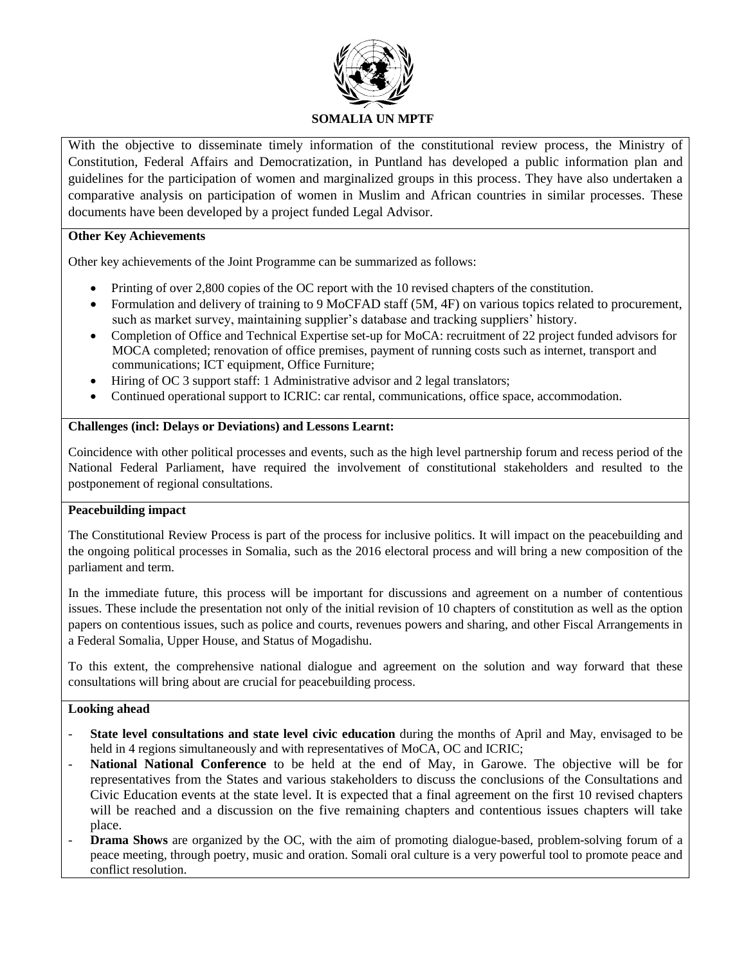

With the objective to disseminate timely information of the constitutional review process, the Ministry of Constitution, Federal Affairs and Democratization, in Puntland has developed a public information plan and guidelines for the participation of women and marginalized groups in this process. They have also undertaken a comparative analysis on participation of women in Muslim and African countries in similar processes. These documents have been developed by a project funded Legal Advisor.

#### **Other Key Achievements**

Other key achievements of the Joint Programme can be summarized as follows:

- Printing of over 2,800 copies of the OC report with the 10 revised chapters of the constitution.
- Formulation and delivery of training to 9 MoCFAD staff (5M, 4F) on various topics related to procurement, such as market survey, maintaining supplier's database and tracking suppliers' history.
- Completion of Office and Technical Expertise set-up for MoCA: recruitment of 22 project funded advisors for MOCA completed; renovation of office premises, payment of running costs such as internet, transport and communications; ICT equipment, Office Furniture;
- Hiring of OC 3 support staff: 1 Administrative advisor and 2 legal translators;
- Continued operational support to ICRIC: car rental, communications, office space, accommodation.

## **Challenges (incl: Delays or Deviations) and Lessons Learnt:**

Coincidence with other political processes and events, such as the high level partnership forum and recess period of the National Federal Parliament, have required the involvement of constitutional stakeholders and resulted to the postponement of regional consultations.

### **Peacebuilding impact**

The Constitutional Review Process is part of the process for inclusive politics. It will impact on the peacebuilding and the ongoing political processes in Somalia, such as the 2016 electoral process and will bring a new composition of the parliament and term.

In the immediate future, this process will be important for discussions and agreement on a number of contentious issues. These include the presentation not only of the initial revision of 10 chapters of constitution as well as the option papers on contentious issues, such as police and courts, revenues powers and sharing, and other Fiscal Arrangements in a Federal Somalia, Upper House, and Status of Mogadishu.

To this extent, the comprehensive national dialogue and agreement on the solution and way forward that these consultations will bring about are crucial for peacebuilding process.

#### **Looking ahead**

- **State level consultations and state level civic education** during the months of April and May, envisaged to be held in 4 regions simultaneously and with representatives of MoCA, OC and ICRIC;
- National National Conference to be held at the end of May, in Garowe. The objective will be for representatives from the States and various stakeholders to discuss the conclusions of the Consultations and Civic Education events at the state level. It is expected that a final agreement on the first 10 revised chapters will be reached and a discussion on the five remaining chapters and contentious issues chapters will take place.
- **Drama Shows** are organized by the OC, with the aim of promoting dialogue-based, problem-solving forum of a peace meeting, through poetry, music and oration. Somali oral culture is a very powerful tool to promote peace and conflict resolution.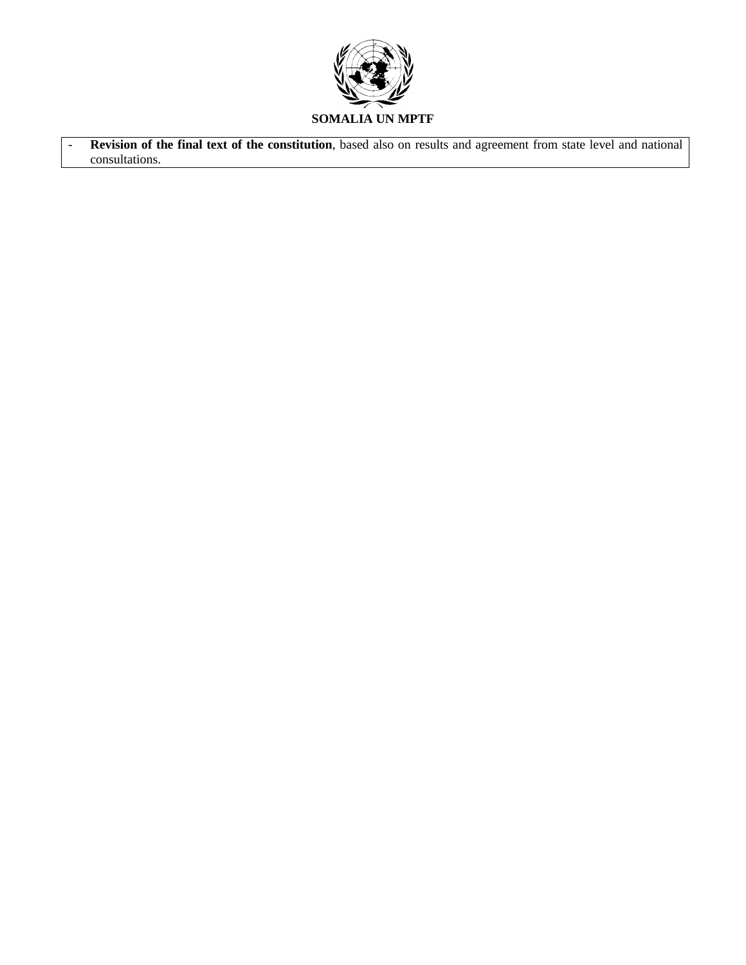

- **Revision of the final text of the constitution**, based also on results and agreement from state level and national consultations.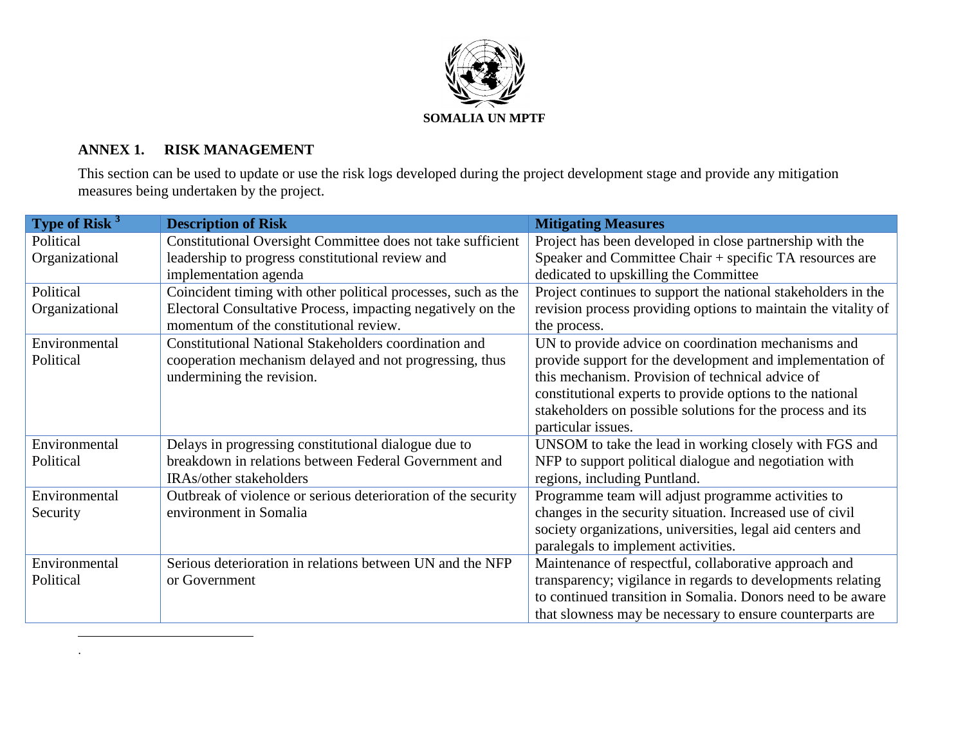

# **ANNEX 1. RISK MANAGEMENT**

 $\overline{a}$ .

This section can be used to update or use the risk logs developed during the project development stage and provide any mitigation measures being undertaken by the project.

| Type of Risk <sup>3</sup> | <b>Description of Risk</b>                                    | <b>Mitigating Measures</b>                                     |
|---------------------------|---------------------------------------------------------------|----------------------------------------------------------------|
| Political                 | Constitutional Oversight Committee does not take sufficient   | Project has been developed in close partnership with the       |
| Organizational            | leadership to progress constitutional review and              | Speaker and Committee Chair + specific TA resources are        |
|                           | implementation agenda                                         | dedicated to upskilling the Committee                          |
| Political                 | Coincident timing with other political processes, such as the | Project continues to support the national stakeholders in the  |
| Organizational            | Electoral Consultative Process, impacting negatively on the   | revision process providing options to maintain the vitality of |
|                           | momentum of the constitutional review.                        | the process.                                                   |
| Environmental             | <b>Constitutional National Stakeholders coordination and</b>  | UN to provide advice on coordination mechanisms and            |
| Political                 | cooperation mechanism delayed and not progressing, thus       | provide support for the development and implementation of      |
|                           | undermining the revision.                                     | this mechanism. Provision of technical advice of               |
|                           |                                                               | constitutional experts to provide options to the national      |
|                           |                                                               | stakeholders on possible solutions for the process and its     |
|                           |                                                               | particular issues.                                             |
| Environmental             | Delays in progressing constitutional dialogue due to          | UNSOM to take the lead in working closely with FGS and         |
| Political                 | breakdown in relations between Federal Government and         | NFP to support political dialogue and negotiation with         |
|                           | IRAs/other stakeholders                                       | regions, including Puntland.                                   |
| Environmental             | Outbreak of violence or serious deterioration of the security | Programme team will adjust programme activities to             |
| Security                  | environment in Somalia                                        | changes in the security situation. Increased use of civil      |
|                           |                                                               | society organizations, universities, legal aid centers and     |
|                           |                                                               | paralegals to implement activities.                            |
| Environmental             | Serious deterioration in relations between UN and the NFP     | Maintenance of respectful, collaborative approach and          |
| Political                 | or Government                                                 | transparency; vigilance in regards to developments relating    |
|                           |                                                               | to continued transition in Somalia. Donors need to be aware    |
|                           |                                                               | that slowness may be necessary to ensure counterparts are      |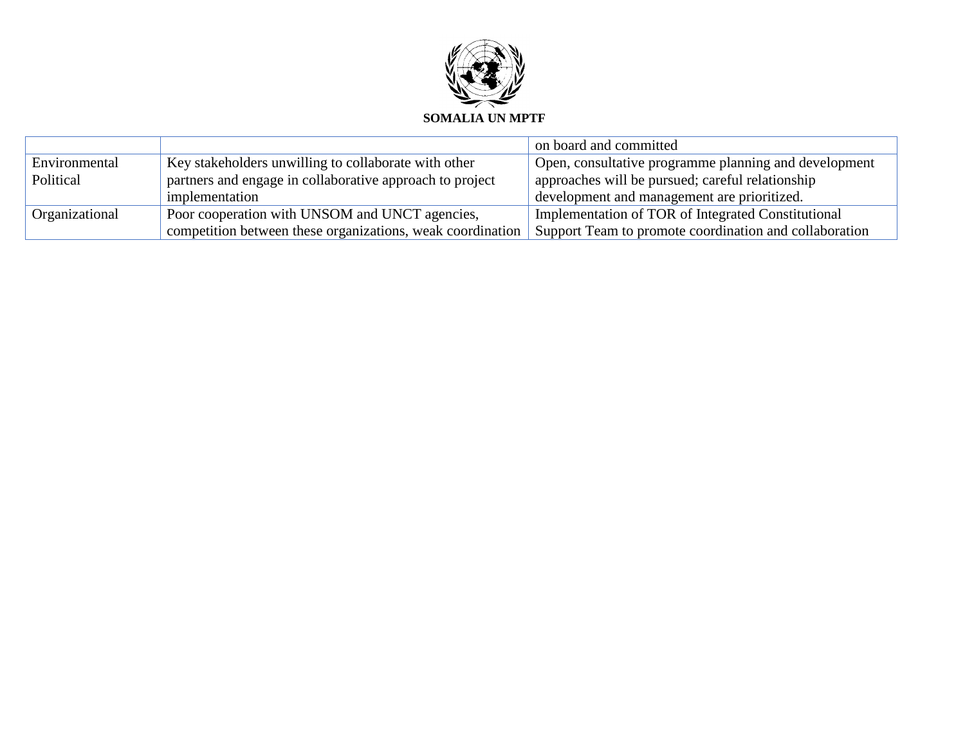

|                |                                                            | on board and committed                                 |
|----------------|------------------------------------------------------------|--------------------------------------------------------|
| Environmental  | Key stakeholders unwilling to collaborate with other       | Open, consultative programme planning and development  |
| Political      | partners and engage in collaborative approach to project   | approaches will be pursued; careful relationship       |
|                | implementation                                             | development and management are prioritized.            |
| Organizational | Poor cooperation with UNSOM and UNCT agencies,             | Implementation of TOR of Integrated Constitutional     |
|                | competition between these organizations, weak coordination | Support Team to promote coordination and collaboration |